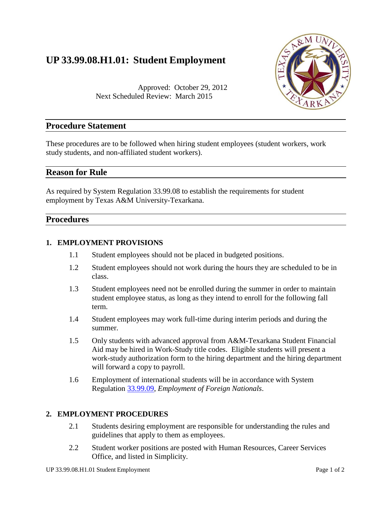# **UP 33.99.08.H1.01: Student Employment**



Approved: October 29, 2012 Next Scheduled Review: March 2015

# **Procedure Statement**

These procedures are to be followed when hiring student employees (student workers, work study students, and non-affiliated student workers).

# **Reason for Rule**

As required by System Regulation 33.99.08 to establish the requirements for student employment by Texas A&M University-Texarkana.

# **Procedures**

#### **1. EMPLOYMENT PROVISIONS**

- 1.1 Student employees should not be placed in budgeted positions.
- 1.2 Student employees should not work during the hours they are scheduled to be in class.
- 1.3 Student employees need not be enrolled during the summer in order to maintain student employee status, as long as they intend to enroll for the following fall term.
- 1.4 Student employees may work full-time during interim periods and during the summer.
- 1.5 Only students with advanced approval from A&M-Texarkana Student Financial Aid may be hired in Work-Study title codes. Eligible students will present a work-study authorization form to the hiring department and the hiring department will forward a copy to payroll.
- 1.6 Employment of international students will be in accordance with System Regulation [33.99.09,](http://policies.tamus.edu/33-99-09.pdf) *Employment of Foreign Nationals*.

## **2. EMPLOYMENT PROCEDURES**

- 2.1 Students desiring employment are responsible for understanding the rules and guidelines that apply to them as employees.
- 2.2 Student worker positions are posted with Human Resources, Career Services Office, and listed in Simplicity.